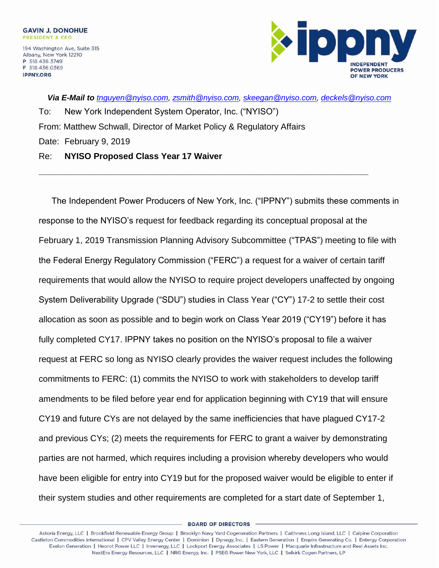

*Via E-Mail to [tnguyen@nyiso.com,](mailto:tnguyen@nyiso.com) [zsmith@nyiso.com,](mailto:zsmith@nyiso.com) [skeegan@nyiso.com,](mailto:skeegan@nyiso.com) [deckels@nyiso.com](mailto:deckels@nyiso.com)* To: New York Independent System Operator, Inc. ("NYISO") From: Matthew Schwall, Director of Market Policy & Regulatory Affairs Date: February 9, 2019 Re: **NYISO Proposed Class Year 17 Waiver**

**\_\_\_\_\_\_\_\_\_\_\_\_\_\_\_\_\_\_\_\_\_\_\_\_\_\_\_\_\_\_\_\_\_\_\_\_\_\_\_\_\_\_\_\_\_\_\_\_\_\_\_\_\_\_\_\_\_\_\_\_\_\_\_\_\_\_\_\_\_**

The Independent Power Producers of New York, Inc. ("IPPNY") submits these comments in response to the NYISO's request for feedback regarding its conceptual proposal at the February 1, 2019 Transmission Planning Advisory Subcommittee ("TPAS") meeting to file with the Federal Energy Regulatory Commission ("FERC") a request for a waiver of certain tariff requirements that would allow the NYISO to require project developers unaffected by ongoing System Deliverability Upgrade ("SDU") studies in Class Year ("CY") 17-2 to settle their cost allocation as soon as possible and to begin work on Class Year 2019 ("CY19") before it has fully completed CY17. IPPNY takes no position on the NYISO's proposal to file a waiver request at FERC so long as NYISO clearly provides the waiver request includes the following commitments to FERC: (1) commits the NYISO to work with stakeholders to develop tariff amendments to be filed before year end for application beginning with CY19 that will ensure CY19 and future CYs are not delayed by the same inefficiencies that have plagued CY17-2 and previous CYs; (2) meets the requirements for FERC to grant a waiver by demonstrating parties are not harmed, which requires including a provision whereby developers who would have been eligible for entry into CY19 but for the proposed waiver would be eligible to enter if their system studies and other requirements are completed for a start date of September 1,

**BOARD OF DIRECTORS**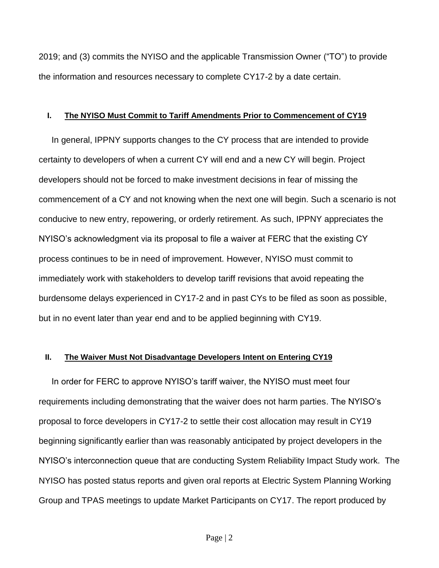2019; and (3) commits the NYISO and the applicable Transmission Owner ("TO") to provide the information and resources necessary to complete CY17-2 by a date certain.

## **I. The NYISO Must Commit to Tariff Amendments Prior to Commencement of CY19**

In general, IPPNY supports changes to the CY process that are intended to provide certainty to developers of when a current CY will end and a new CY will begin. Project developers should not be forced to make investment decisions in fear of missing the commencement of a CY and not knowing when the next one will begin. Such a scenario is not conducive to new entry, repowering, or orderly retirement. As such, IPPNY appreciates the NYISO's acknowledgment via its proposal to file a waiver at FERC that the existing CY process continues to be in need of improvement. However, NYISO must commit to immediately work with stakeholders to develop tariff revisions that avoid repeating the burdensome delays experienced in CY17-2 and in past CYs to be filed as soon as possible, but in no event later than year end and to be applied beginning with CY19.

## **II. The Waiver Must Not Disadvantage Developers Intent on Entering CY19**

In order for FERC to approve NYISO's tariff waiver, the NYISO must meet four requirements including demonstrating that the waiver does not harm parties. The NYISO's proposal to force developers in CY17-2 to settle their cost allocation may result in CY19 beginning significantly earlier than was reasonably anticipated by project developers in the NYISO's interconnection queue that are conducting System Reliability Impact Study work. The NYISO has posted status reports and given oral reports at Electric System Planning Working Group and TPAS meetings to update Market Participants on CY17. The report produced by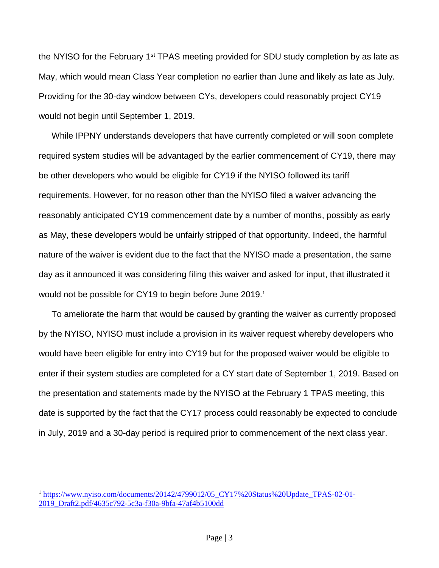the NYISO for the February 1<sup>st</sup> TPAS meeting provided for SDU study completion by as late as May, which would mean Class Year completion no earlier than June and likely as late as July. Providing for the 30-day window between CYs, developers could reasonably project CY19 would not begin until September 1, 2019.

While IPPNY understands developers that have currently completed or will soon complete required system studies will be advantaged by the earlier commencement of CY19, there may be other developers who would be eligible for CY19 if the NYISO followed its tariff requirements. However, for no reason other than the NYISO filed a waiver advancing the reasonably anticipated CY19 commencement date by a number of months, possibly as early as May, these developers would be unfairly stripped of that opportunity. Indeed, the harmful nature of the waiver is evident due to the fact that the NYISO made a presentation, the same day as it announced it was considering filing this waiver and asked for input, that illustrated it would not be possible for CY19 to begin before June 2019.<sup>1</sup>

To ameliorate the harm that would be caused by granting the waiver as currently proposed by the NYISO, NYISO must include a provision in its waiver request whereby developers who would have been eligible for entry into CY19 but for the proposed waiver would be eligible to enter if their system studies are completed for a CY start date of September 1, 2019. Based on the presentation and statements made by the NYISO at the February 1 TPAS meeting, this date is supported by the fact that the CY17 process could reasonably be expected to conclude in July, 2019 and a 30-day period is required prior to commencement of the next class year.

 $\overline{a}$ 

 $1 \text{ https://www.nviso.com/documents/20142/4799012/05}$  CY17%20Status%20Update TPAS-02-01-[2019\\_Draft2.pdf/4635c792-5c3a-f30a-9bfa-47af4b5100dd](https://www.nyiso.com/documents/20142/4799012/05_CY17%20Status%20Update_TPAS-02-01-2019_Draft2.pdf/4635c792-5c3a-f30a-9bfa-47af4b5100dd)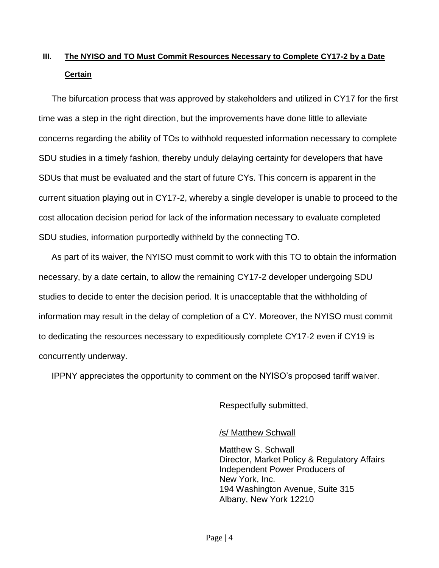## **III. The NYISO and TO Must Commit Resources Necessary to Complete CY17-2 by a Date Certain**

The bifurcation process that was approved by stakeholders and utilized in CY17 for the first time was a step in the right direction, but the improvements have done little to alleviate concerns regarding the ability of TOs to withhold requested information necessary to complete SDU studies in a timely fashion, thereby unduly delaying certainty for developers that have SDUs that must be evaluated and the start of future CYs. This concern is apparent in the current situation playing out in CY17-2, whereby a single developer is unable to proceed to the cost allocation decision period for lack of the information necessary to evaluate completed SDU studies, information purportedly withheld by the connecting TO.

As part of its waiver, the NYISO must commit to work with this TO to obtain the information necessary, by a date certain, to allow the remaining CY17-2 developer undergoing SDU studies to decide to enter the decision period. It is unacceptable that the withholding of information may result in the delay of completion of a CY. Moreover, the NYISO must commit to dedicating the resources necessary to expeditiously complete CY17-2 even if CY19 is concurrently underway.

IPPNY appreciates the opportunity to comment on the NYISO's proposed tariff waiver.

Respectfully submitted,

/s/ Matthew Schwall

Matthew S. Schwall Director, Market Policy & Regulatory Affairs Independent Power Producers of New York, Inc. 194 Washington Avenue, Suite 315 Albany, New York 12210